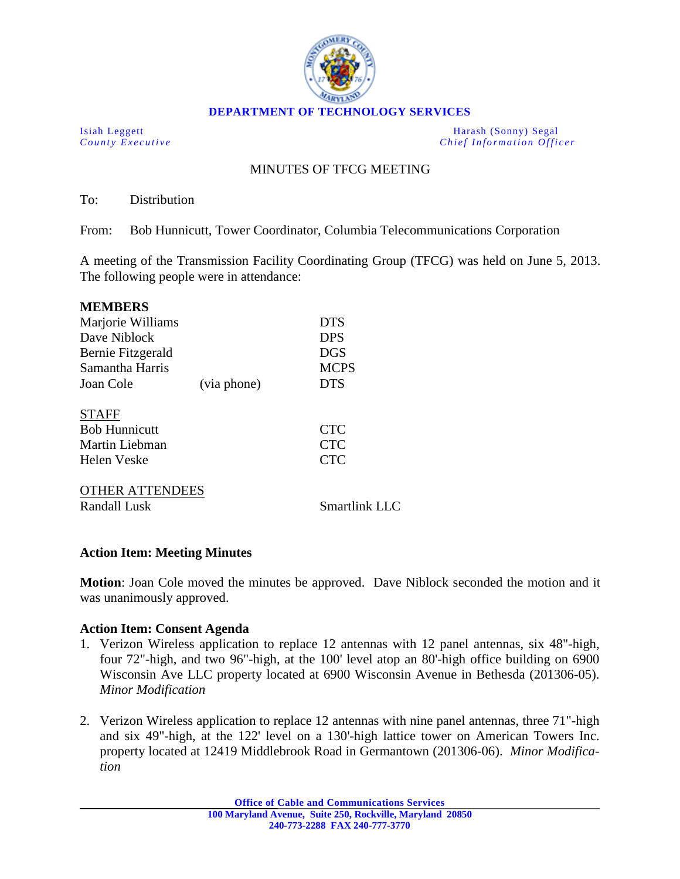

**DEPARTMENT OF TECHNOLOGY SERVICES**

Isiah Leggett Harash (Sonny) Segal<br>
County Executive Chief Information Office *Chief Information Officer* 

# MINUTES OF TFCG MEETING

To: Distribution

From: Bob Hunnicutt, Tower Coordinator, Columbia Telecommunications Corporation

A meeting of the Transmission Facility Coordinating Group (TFCG) was held on June 5, 2013. The following people were in attendance:

| <b>MEMBERS</b>         |             |               |
|------------------------|-------------|---------------|
| Marjorie Williams      |             | <b>DTS</b>    |
| Dave Niblock           |             | <b>DPS</b>    |
| Bernie Fitzgerald      |             | DGS           |
| Samantha Harris        |             | <b>MCPS</b>   |
| Joan Cole              | (via phone) | <b>DTS</b>    |
| <b>STAFF</b>           |             |               |
| <b>Bob Hunnicutt</b>   |             | <b>CTC</b>    |
| Martin Liebman         |             | <b>CTC</b>    |
| Helen Veske            |             | <b>CTC</b>    |
| <b>OTHER ATTENDEES</b> |             |               |
| Randall Lusk           |             | Smartlink LLC |

### **Action Item: Meeting Minutes**

**Motion**: Joan Cole moved the minutes be approved. Dave Niblock seconded the motion and it was unanimously approved.

### **Action Item: Consent Agenda**

- 1. Verizon Wireless application to replace 12 antennas with 12 panel antennas, six 48"-high, four 72"-high, and two 96"-high, at the 100' level atop an 80'-high office building on 6900 Wisconsin Ave LLC property located at 6900 Wisconsin Avenue in Bethesda (201306-05). *Minor Modification*
- 2. Verizon Wireless application to replace 12 antennas with nine panel antennas, three 71"-high and six 49"-high, at the 122' level on a 130'-high lattice tower on American Towers Inc. property located at 12419 Middlebrook Road in Germantown (201306-06). *Minor Modification*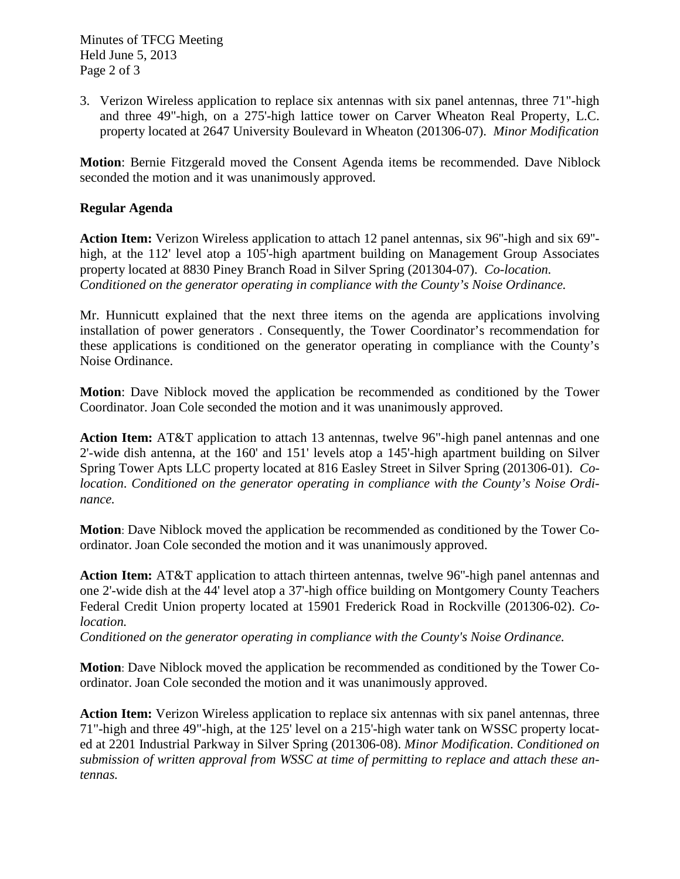3. Verizon Wireless application to replace six antennas with six panel antennas, three 71"-high and three 49"-high, on a 275'-high lattice tower on Carver Wheaton Real Property, L.C. property located at 2647 University Boulevard in Wheaton (201306-07). *Minor Modification*

**Motion**: Bernie Fitzgerald moved the Consent Agenda items be recommended. Dave Niblock seconded the motion and it was unanimously approved.

## **Regular Agenda**

**Action Item:** Verizon Wireless application to attach 12 panel antennas, six 96''-high and six 69'' high, at the 112' level atop a 105'-high apartment building on Management Group Associates property located at 8830 Piney Branch Road in Silver Spring (201304-07). *Co-location. Conditioned on the generator operating in compliance with the County's Noise Ordinance.*

Mr. Hunnicutt explained that the next three items on the agenda are applications involving installation of power generators . Consequently, the Tower Coordinator's recommendation for these applications is conditioned on the generator operating in compliance with the County's Noise Ordinance.

**Motion**: Dave Niblock moved the application be recommended as conditioned by the Tower Coordinator. Joan Cole seconded the motion and it was unanimously approved.

**Action Item:** AT&T application to attach 13 antennas, twelve 96"-high panel antennas and one 2'-wide dish antenna, at the 160' and 151' levels atop a 145'-high apartment building on Silver Spring Tower Apts LLC property located at 816 Easley Street in Silver Spring (201306-01). *Colocation*. *Conditioned on the generator operating in compliance with the County's Noise Ordinance.*

**Motion**: Dave Niblock moved the application be recommended as conditioned by the Tower Coordinator. Joan Cole seconded the motion and it was unanimously approved.

**Action Item:** AT&T application to attach thirteen antennas, twelve 96''-high panel antennas and one 2'-wide dish at the 44' level atop a 37'-high office building on Montgomery County Teachers Federal Credit Union property located at 15901 Frederick Road in Rockville (201306-02). *Colocation.*

*Conditioned on the generator operating in compliance with the County's Noise Ordinance.*

**Motion**: Dave Niblock moved the application be recommended as conditioned by the Tower Coordinator. Joan Cole seconded the motion and it was unanimously approved.

**Action Item:** Verizon Wireless application to replace six antennas with six panel antennas, three 71"-high and three 49"-high, at the 125' level on a 215'-high water tank on WSSC property located at 2201 Industrial Parkway in Silver Spring (201306-08). *Minor Modification*. *Conditioned on submission of written approval from WSSC at time of permitting to replace and attach these antennas.*